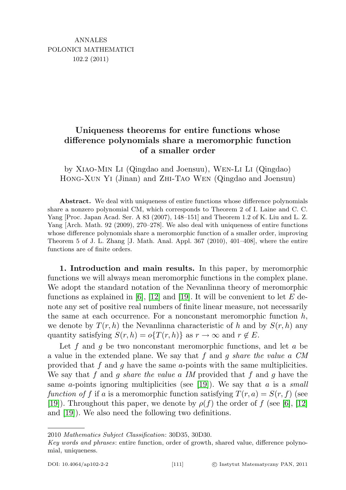# Uniqueness theorems for entire functions whose difference polynomials share a meromorphic function of a smaller order

by Xiao-Min Li (Qingdao and Joensuu), Wen-Li Li (Qingdao) Hong-Xun Yi (Jinan) and Zhi-Tao Wen (Qingdao and Joensuu)

Abstract. We deal with uniqueness of entire functions whose difference polynomials share a nonzero polynomial CM, which corresponds to Theorem 2 of I. Laine and C. C. Yang [Proc. Japan Acad. Ser. A 83 (2007), 148–151] and Theorem 1.2 of K. Liu and L. Z. Yang [Arch. Math. 92 (2009), 270–278]. We also deal with uniqueness of entire functions whose difference polynomials share a meromorphic function of a smaller order, improving Theorem 5 of J. L. Zhang [J. Math. Anal. Appl. 367 (2010), 401–408], where the entire functions are of finite orders.

1. Introduction and main results. In this paper, by meromorphic functions we will always mean meromorphic functions in the complex plane. We adopt the standard notation of the Nevanlinna theory of meromorphic functions as explained in [\[6\]](#page-15-0), [\[12\]](#page-16-0) and [\[19\]](#page-16-1). It will be convenient to let E denote any set of positive real numbers of finite linear measure, not necessarily the same at each occurrence. For a nonconstant meromorphic function  $h$ , we denote by  $T(r, h)$  the Nevanlinna characteristic of h and by  $S(r, h)$  any quantity satisfying  $S(r, h) = o\{T(r, h)\}\$ as  $r \to \infty$  and  $r \notin E$ .

Let f and g be two nonconstant meromorphic functions, and let  $a$  be a value in the extended plane. We say that  $f$  and  $g$  share the value  $a$  CM provided that f and g have the same a-points with the same multiplicities. We say that f and q share the value a IM provided that f and q have the same a-points ignoring multiplicities (see [\[19\]](#page-16-1)). We say that a is a small function of f if a is a meromorphic function satisfying  $T(r, a) = S(r, f)$  (see [\[19\]](#page-16-1)). Throughout this paper, we denote by  $\rho(f)$  the order of f (see [\[6\]](#page-15-0), [\[12\]](#page-16-0) and [\[19\]](#page-16-1)). We also need the following two definitions.

<sup>2010</sup> Mathematics Subject Classification: 30D35, 30D30.

Key words and phrases: entire function, order of growth, shared value, difference polynomial, uniqueness.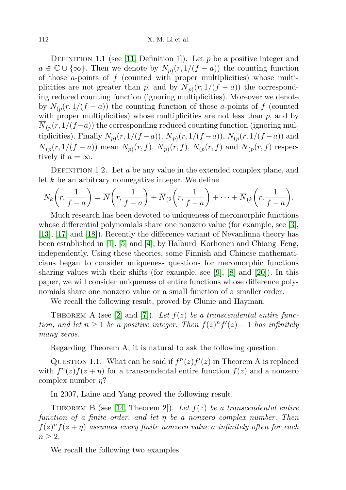DEFINITION 1.1 (see [\[11,](#page-16-2) Definition 1]). Let  $p$  be a positive integer and  $a \in \mathbb{C} \cup \{\infty\}$ . Then we denote by  $N_{p}(r, 1/(f - a))$  the counting function of those  $a$ -points of  $f$  (counted with proper multiplicities) whose multiplicities are not greater than p, and by  $N_{p}(r, 1/(f - a))$  the corresponding reduced counting function (ignoring multiplicities). Moreover we denote by  $N_{(p}(r,1/(f-a))$  the counting function of those a-points of f (counted with proper multiplicities) whose multiplicities are not less than  $p$ , and by  $N_{(p}(r,1/(f-a))$  the corresponding reduced counting function (ignoring multiplicities). Finally  $N_{p}(r,1/(f-a)), N_{p}(r,1/(f-a)), N_{(p}(r,1/(f-a))$  and  $N_{(p}(r,1/(f-a))$  mean  $N_{p)}(r,f)$ ,  $N_{(p)}(r,f)$ ,  $N_{(p}(r,f)$  and  $N_{(p}(r,f)$  respectively if  $a = \infty$ .

DEFINITION 1.2. Let  $a$  be any value in the extended complex plane, and let  $k$  be an arbitrary nonnegative integer. We define

$$
N_k\left(r,\frac{1}{f-a}\right)=\overline{N}\left(r,\frac{1}{f-a}\right)+\overline{N}_{(2}\left(r,\frac{1}{f-a}\right)+\cdots+\overline{N}_{(k)}\left(r,\frac{1}{f-a}\right).
$$

Much research has been devoted to uniqueness of meromorphic functions whose differential polynomials share one nonzero value (for example, see [\[3\]](#page-15-1), [\[13\]](#page-16-3), [\[17\]](#page-16-4) and [\[18\]](#page-16-5)). Recently the difference variant of Nevanlinna theory has been established in [\[1\]](#page-15-2), [\[5\]](#page-15-3) and [\[4\]](#page-15-4), by Halburd–Korhonen and Chiang–Feng, independently. Using these theories, some Finnish and Chinese mathematicians began to consider uniqueness questions for meromorphic functions sharing values with their shifts (for example, see [\[9\]](#page-16-6), [\[8\]](#page-16-7) and [\[20\]](#page-16-8)). In this paper, we will consider uniqueness of entire functions whose difference polynomials share one nonzero value or a small function of a smaller order.

We recall the following result, proved by Clunie and Hayman.

THEOREM A (see [\[2\]](#page-15-5) and [\[7\]](#page-15-6)). Let  $f(z)$  be a transcendental entire function, and let  $n \geq 1$  be a positive integer. Then  $f(z)^n f'(z) - 1$  has infinitely many zeros.

Regarding Theorem A, it is natural to ask the following question.

QUESTION 1.1. What can be said if  $f^{n}(z)f'(z)$  in Theorem A is replaced with  $f^{n}(z) f(z + \eta)$  for a transcendental entire function  $f(z)$  and a nonzero complex number  $\eta$ ?

In 2007, Laine and Yang proved the following result.

THEOREM B (see [\[14,](#page-16-9) Theorem 2]). Let  $f(z)$  be a transcendental entire function of a finite order, and let η be a nonzero complex number. Then  $f(z)^n f(z + \eta)$  assumes every finite nonzero value a infinitely often for each  $n \geq 2$ .

We recall the following two examples.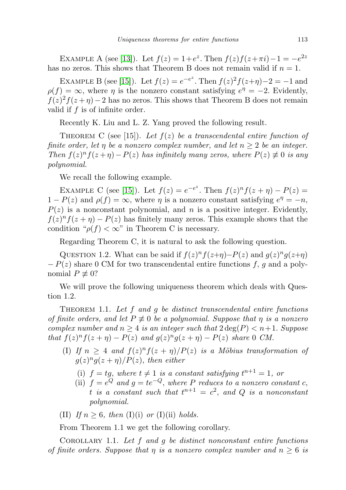EXAMPLE A (see [\[13\]](#page-16-3)). Let  $f(z) = 1 + e^z$ . Then  $f(z)f(z + \pi i) - 1 = -e^{2z}$ has no zeros. This shows that Theorem B does not remain valid if  $n = 1$ .

EXAMPLE B (see [\[15\]](#page-16-10)). Let  $f(z) = e^{-e^z}$ . Then  $f(z)^2 f(z+\eta) - 2 = -1$  and  $\rho(f) = \infty$ , where  $\eta$  is the nonzero constant satisfying  $e^{\eta} = -2$ . Evidently,  $f(z)^2 f(z+\eta) - 2$  has no zeros. This shows that Theorem B does not remain valid if f is of infinite order.

Recently K. Liu and L. Z. Yang proved the following result.

THEOREM C (see [15]). Let  $f(z)$  be a transcendental entire function of finite order, let  $\eta$  be a nonzero complex number, and let  $n \geq 2$  be an integer. Then  $f(z)^n f(z+\eta) - P(z)$  has infinitely many zeros, where  $P(z) \neq 0$  is any polynomial.

We recall the following example.

EXAMPLE C (see [\[15\]](#page-16-10)). Let  $f(z) = e^{-e^{z}}$ . Then  $f(z)^{n} f(z + \eta) - P(z) =$  $1 - P(z)$  and  $\rho(f) = \infty$ , where  $\eta$  is a nonzero constant satisfying  $e^{\eta} = -n$ ,  $P(z)$  is a nonconstant polynomial, and n is a positive integer. Evidently,  $f(z)^n f(z + \eta) - P(z)$  has finitely many zeros. This example shows that the condition " $\rho(f) < \infty$ " in Theorem C is necessary.

Regarding Theorem C, it is natural to ask the following question.

QUESTION 1.2. What can be said if  $f(z)^n f(z+\eta) - P(z)$  and  $g(z)^n g(z+\eta)$  $-P(z)$  share 0 CM for two transcendental entire functions f, g and a polynomial  $P \not\equiv 0$ ?

We will prove the following uniqueness theorem which deals with Question 1.2.

THEOREM 1.1. Let  $f$  and  $g$  be distinct transcendental entire functions of finite orders, and let  $P \neq 0$  be a polynomial. Suppose that  $\eta$  is a nonzero complex number and  $n \geq 4$  is an integer such that  $2 \deg(P) < n+1$ . Suppose that  $f(z)^n f(z+\eta) - P(z)$  and  $g(z)^n g(z+\eta) - P(z)$  share 0 CM.

- (I) If  $n \geq 4$  and  $f(z)^n f(z + \eta)/P(z)$  is a Möbius transformation of  $g(z)^n g(z+\eta)/P(z)$ , then either
	- (i)  $f = tg$ , where  $t \neq 1$  is a constant satisfying  $t^{n+1} = 1$ , or
	- (ii)  $f = e^{Q}$  and  $g = te^{-Q}$ , where P reduces to a nonzero constant c, t is a constant such that  $t^{n+1} = c^2$ , and Q is a nonconstant polynomial.
- (II) If  $n \geq 6$ , then (I)(i) or (I)(ii) holds.

From Theorem 1.1 we get the following corollary.

COROLLARY 1.1. Let  $f$  and  $g$  be distinct nonconstant entire functions of finite orders. Suppose that  $\eta$  is a nonzero complex number and  $n \geq 6$  is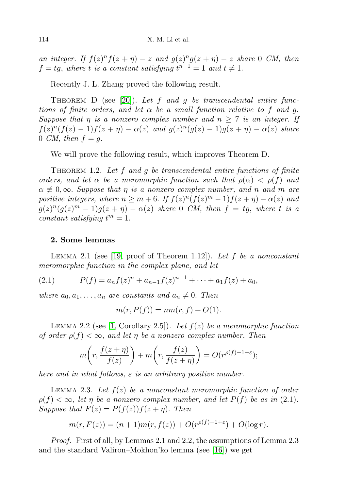an integer. If  $f(z)^n f(z + \eta) - z$  and  $g(z)^n g(z + \eta) - z$  share 0 CM, then  $f = tg$ , where t is a constant satisfying  $t^{n+1} = 1$  and  $t \neq 1$ .

Recently J. L. Zhang proved the following result.

THEOREM D (see [\[20\]](#page-16-8)). Let f and g be transcendental entire functions of finite orders, and let  $\alpha$  be a small function relative to f and g. Suppose that  $\eta$  is a nonzero complex number and  $n \geq 7$  is an integer. If  $f(z)^n(f(z)-1)f(z+\eta) - \alpha(z)$  and  $g(z)^n(g(z)-1)g(z+\eta) - \alpha(z)$  share 0 CM, then  $f = q$ .

We will prove the following result, which improves Theorem D.

THEOREM 1.2. Let f and g be transcendental entire functions of finite orders, and let  $\alpha$  be a meromorphic function such that  $\rho(\alpha) < \rho(f)$  and  $\alpha \neq 0, \infty$ . Suppose that  $\eta$  is a nonzero complex number, and n and m are positive integers, where  $n \geq m+6$ . If  $f(z)^n(f(z)^m-1)f(z+\eta) - \alpha(z)$  and  $g(z)^n(g(z)^m-1)g(z+\eta) - \alpha(z)$  share 0 CM, then  $f = tg$ , where t is a constant satisfying  $t^m = 1$ .

### 2. Some lemmas

LEMMA 2.1 (see [\[19,](#page-16-1) proof of Theorem 1.12]). Let f be a nonconstant meromorphic function in the complex plane, and let

(2.1) 
$$
P(f) = a_n f(z)^n + a_{n-1} f(z)^{n-1} + \dots + a_1 f(z) + a_0,
$$

where  $a_0, a_1, \ldots, a_n$  are constants and  $a_n \neq 0$ . Then

$$
m(r, P(f)) = nm(r, f) + O(1).
$$

LEMMA 2.2 (see [\[1,](#page-15-2) Corollary 2.5]). Let  $f(z)$  be a meromorphic function of order  $\rho(f) < \infty$ , and let  $\eta$  be a nonzero complex number. Then

$$
m\bigg(r,\frac{f(z+\eta)}{f(z)}\bigg)+m\bigg(r,\frac{f(z)}{f(z+\eta)}\bigg)=O(r^{\rho(f)-1+\varepsilon});
$$

here and in what follows,  $\varepsilon$  is an arbitrary positive number.

LEMMA 2.3. Let  $f(z)$  be a nonconstant meromorphic function of order  $\rho(f) < \infty$ , let  $\eta$  be a nonzero complex number, and let  $P(f)$  be as in (2.1). Suppose that  $F(z) = P(f(z))f(z + \eta)$ . Then

$$
m(r, F(z)) = (n+1)m(r, f(z)) + O(r^{\rho(f)-1+\varepsilon}) + O(\log r).
$$

Proof. First of all, by Lemmas 2.1 and 2.2, the assumptions of Lemma 2.3 and the standard Valiron–Mokhon'ko lemma (see [\[16\]](#page-16-11)) we get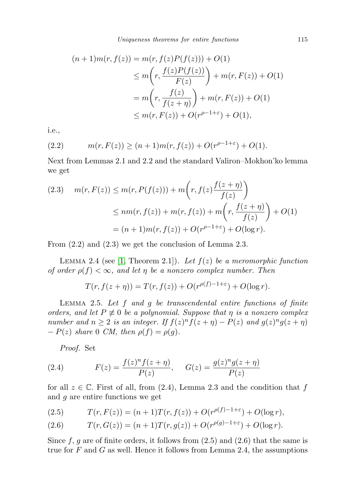$$
(n+1)m(r, f(z)) = m(r, f(z)P(f(z))) + O(1)
$$
  
\n
$$
\leq m\left(r, \frac{f(z)P(f(z))}{F(z)}\right) + m(r, F(z)) + O(1)
$$
  
\n
$$
= m\left(r, \frac{f(z)}{f(z+\eta)}\right) + m(r, F(z)) + O(1)
$$
  
\n
$$
\leq m(r, F(z)) + O(r^{\rho-1+\epsilon}) + O(1),
$$

i.e.,

(2.2) 
$$
m(r, F(z)) \ge (n+1)m(r, f(z)) + O(r^{\rho-1+\epsilon}) + O(1).
$$

Next from Lemmas 2.1 and 2.2 and the standard Valiron–Mokhon'ko lemma we get

(2.3) 
$$
m(r, F(z)) \le m(r, P(f(z))) + m\left(r, f(z)\frac{f(z+\eta)}{f(z)}\right)
$$

$$
\le nm(r, f(z)) + m(r, f(z)) + m\left(r, \frac{f(z+\eta)}{f(z)}\right) + O(1)
$$

$$
= (n+1)m(r, f(z)) + O(r^{\rho-1+\varepsilon}) + O(\log r).
$$

From (2.2) and (2.3) we get the conclusion of Lemma 2.3.

LEMMA 2.4 (see [\[1,](#page-15-2) Theorem 2.1]). Let  $f(z)$  be a meromorphic function of order  $\rho(f) < \infty$ , and let  $\eta$  be a nonzero complex number. Then

$$
T(r, f(z+\eta)) = T(r, f(z)) + O(r^{\rho(f)-1+\varepsilon}) + O(\log r).
$$

LEMMA 2.5. Let  $f$  and  $g$  be transcendental entire functions of finite orders, and let  $P \neq 0$  be a polynomial. Suppose that  $\eta$  is a nonzero complex number and  $n \geq 2$  is an integer. If  $f(z)^n f(z + \eta) - P(z)$  and  $g(z)^n g(z + \eta)$  $-P(z)$  share 0 CM, then  $\rho(f) = \rho(g)$ .

Proof. Set

(2.4) 
$$
F(z) = \frac{f(z)^n f(z + \eta)}{P(z)}, \quad G(z) = \frac{g(z)^n g(z + \eta)}{P(z)}
$$

for all  $z \in \mathbb{C}$ . First of all, from (2.4), Lemma 2.3 and the condition that f and g are entire functions we get

(2.5) 
$$
T(r, F(z)) = (n+1)T(r, f(z)) + O(r^{\rho(f)-1+\varepsilon}) + O(\log r),
$$

(2.6) 
$$
T(r, G(z)) = (n+1)T(r, g(z)) + O(r^{\rho(g)-1+\varepsilon}) + O(\log r).
$$

Since f, g are of finite orders, it follows from  $(2.5)$  and  $(2.6)$  that the same is true for F and G as well. Hence it follows from Lemma 2.4, the assumptions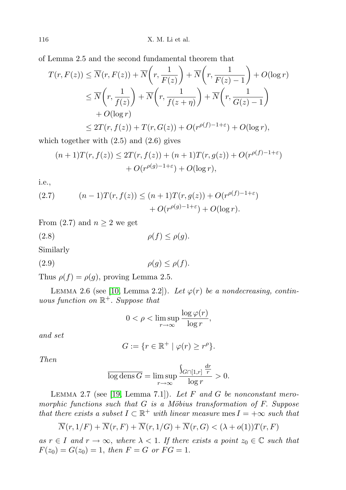of Lemma 2.5 and the second fundamental theorem that

$$
T(r, F(z)) \le \overline{N}(r, F(z)) + \overline{N}\left(r, \frac{1}{F(z)}\right) + \overline{N}\left(r, \frac{1}{F(z) - 1}\right) + O(\log r)
$$
  
\n
$$
\le \overline{N}\left(r, \frac{1}{f(z)}\right) + \overline{N}\left(r, \frac{1}{f(z + \eta)}\right) + \overline{N}\left(r, \frac{1}{G(z) - 1}\right)
$$
  
\n
$$
+ O(\log r)
$$
  
\n
$$
\le 2T(r, f(z)) + T(r, G(z)) + O(r^{\rho(f) - 1 + \varepsilon}) + O(\log r),
$$

which together with  $(2.5)$  and  $(2.6)$  gives

$$
(n+1)T(r, f(z)) \le 2T(r, f(z)) + (n+1)T(r, g(z)) + O(r^{\rho(f)-1+\varepsilon})
$$
  
+ 
$$
O(r^{\rho(g)-1+\varepsilon}) + O(\log r),
$$

i.e.,

(2.7) 
$$
(n-1)T(r, f(z)) \le (n+1)T(r, g(z)) + O(r^{\rho(f)-1+\varepsilon}) + O(r^{\rho(g)-1+\varepsilon}) + O(\log r).
$$

From (2.7) and  $n \geq 2$  we get

$$
(2.8) \t\t \rho(f) \le \rho(g).
$$

Similarly

$$
(2.9) \qquad \rho(g) \le \rho(f).
$$

Thus  $\rho(f) = \rho(g)$ , proving Lemma 2.5.

LEMMA 2.6 (see [\[10,](#page-16-12) Lemma 2.2]). Let  $\varphi(r)$  be a nondecreasing, continuous function on  $\mathbb{R}^+$ . Suppose that

$$
0 < \rho < \limsup_{r \to \infty} \frac{\log \varphi(r)}{\log r},
$$

and set

$$
G := \{ r \in \mathbb{R}^+ \mid \varphi(r) \ge r^{\rho} \}.
$$

Then

$$
\overline{\log \operatorname{dens} G} = \limsup_{r \to \infty} \frac{\int_{G \cap [1,r]} \frac{dr}{r}}{\log r} > 0.
$$

LEMMA 2.7 (see [\[19,](#page-16-1) Lemma 7.1]). Let  $F$  and  $G$  be nonconstant meromorphic functions such that  $G$  is a Möbius transformation of  $F$ . Suppose that there exists a subset  $I \subset \mathbb{R}^+$  with linear measure mes  $I = +\infty$  such that

$$
\overline{N}(r,1/F) + \overline{N}(r,F) + \overline{N}(r,1/G) + \overline{N}(r,G) < (\lambda + o(1))T(r,F)
$$

as  $r \in I$  and  $r \to \infty$ , where  $\lambda < 1$ . If there exists a point  $z_0 \in \mathbb{C}$  such that  $F(z_0) = G(z_0) = 1$ , then  $F = G$  or  $FG = 1$ .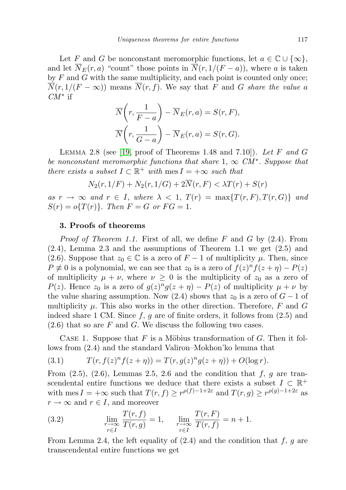Let F and G be nonconstant meromorphic functions, let  $a \in \mathbb{C} \cup \{\infty\},\$ and let  $\overline{N}_E(r, a)$  "count" those points in  $\overline{N}(r, 1/(F - a))$ , where a is taken by  $F$  and  $G$  with the same multiplicity, and each point is counted only once;  $\overline{N}(r, 1/(F - \infty))$  means  $\overline{N}(r, f)$ . We say that F and G share the value a  $\mathit{CM}^*$  if

$$
\overline{N}\left(r, \frac{1}{F-a}\right) - \overline{N}_E(r, a) = S(r, F),
$$
  

$$
\overline{N}\left(r, \frac{1}{G-a}\right) - \overline{N}_E(r, a) = S(r, G).
$$

LEMMA 2.8 (see [\[19,](#page-16-1) proof of Theorems 1.48 and 7.10]). Let F and G be nonconstant meromorphic functions that share  $1, \infty$  CM<sup>\*</sup>. Suppose that there exists a subset  $I \subset \mathbb{R}^+$  with  $\text{mes } I = +\infty$  such that

$$
N_2(r, 1/F) + N_2(r, 1/G) + 2N(r, F) < \lambda T(r) + S(r)
$$

as  $r \to \infty$  and  $r \in I$ , where  $\lambda < 1$ ,  $T(r) = \max\{T(r, F), T(r, G)\}\$  and  $S(r) = o\{T(r)\}\text{. Then } F = G \text{ or } FG = 1.$ 

# 3. Proofs of theorems

*Proof of Theorem 1.1.* First of all, we define F and G by  $(2.4)$ . From (2.4), Lemma 2.3 and the assumptions of Theorem 1.1 we get (2.5) and (2.6). Suppose that  $z_0 \in \mathbb{C}$  is a zero of  $F - 1$  of multiplicity  $\mu$ . Then, since  $P \neq 0$  is a polynomial, we can see that  $z_0$  is a zero of  $f(z)^n f(z + \eta) - P(z)$ of multiplicity  $\mu + \nu$ , where  $\nu \geq 0$  is the multiplicity of  $z_0$  as a zero of  $P(z)$ . Hence  $z_0$  is a zero of  $g(z)^n g(z + \eta) - P(z)$  of multiplicity  $\mu + \nu$  by the value sharing assumption. Now (2.4) shows that  $z_0$  is a zero of  $G - 1$  of multiplicity  $\mu$ . This also works in the other direction. Therefore, F and G indeed share 1 CM. Since  $f, g$  are of finite orders, it follows from  $(2.5)$  and  $(2.6)$  that so are F and G. We discuss the following two cases.

CASE 1. Suppose that F is a Möbius transformation of G. Then it follows from (2.4) and the standard Valiron–Mokhon'ko lemma that

(3.1) 
$$
T(r, f(z)^n f(z + \eta)) = T(r, g(z)^n g(z + \eta)) + O(\log r).
$$

From  $(2.5)$ ,  $(2.6)$ , Lemmas 2.5, 2.6 and the condition that f, g are transcendental entire functions we deduce that there exists a subset  $I \subset \mathbb{R}^+$ with mes  $I = +\infty$  such that  $T(r, f) \geq r^{\rho(f)-1+2\varepsilon}$  and  $T(r, g) \geq r^{\rho(g)-1+2\varepsilon}$  as  $r \to \infty$  and  $r \in I$ , and moreover

(3.2) 
$$
\lim_{\substack{r \to \infty \\ r \in I}} \frac{T(r, f)}{T(r, g)} = 1, \quad \lim_{\substack{r \to \infty \\ r \in I}} \frac{T(r, F)}{T(r, f)} = n + 1.
$$

From Lemma 2.4, the left equality of  $(2.4)$  and the condition that f, g are transcendental entire functions we get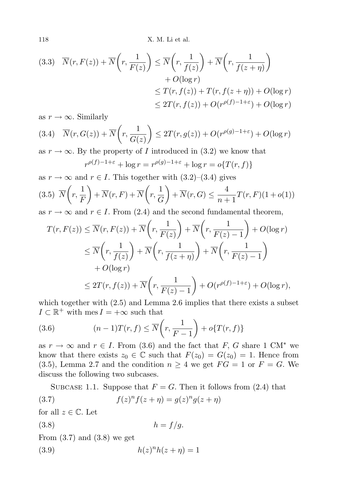118 X. M. Li et al.

$$
(3.3) \quad \overline{N}(r, F(z)) + \overline{N}\left(r, \frac{1}{F(z)}\right) \le \overline{N}\left(r, \frac{1}{f(z)}\right) + \overline{N}\left(r, \frac{1}{f(z+\eta)}\right) + O(\log r) \le T(r, f(z)) + T(r, f(z+\eta)) + O(\log r) \le 2T(r, f(z)) + O(r^{\rho(f)-1+\varepsilon}) + O(\log r)
$$

as  $r \to \infty$ . Similarly

$$
(3.4) \quad \overline{N}(r, G(z)) + \overline{N}\left(r, \frac{1}{G(z)}\right) \le 2T(r, g(z)) + O(r^{\rho(g)-1+\varepsilon}) + O(\log r)
$$

as  $r \to \infty$ . By the property of I introduced in (3.2) we know that

$$
r^{\rho(f)-1+\varepsilon} + \log r = r^{\rho(g)-1+\varepsilon} + \log r = o\{T(r,f)\}
$$

as  $r \to \infty$  and  $r \in I$ . This together with  $(3.2)$ – $(3.4)$  gives

(3.5) 
$$
\overline{N}\left(r, \frac{1}{F}\right) + \overline{N}(r, F) + \overline{N}\left(r, \frac{1}{G}\right) + \overline{N}(r, G) \le \frac{4}{n+1}T(r, F)(1 + o(1))
$$
  
as  $r \to \infty$  and  $r \in I$ . From (2.4) and the second fundamental theorem

as  $r \to \infty$  and  $r \in I$ . From (2.4) and the second fundamental theorem,

$$
T(r, F(z)) \le \overline{N}(r, F(z)) + \overline{N}\left(r, \frac{1}{F(z)}\right) + \overline{N}\left(r, \frac{1}{F(z) - 1}\right) + O(\log r)
$$
  

$$
\le \overline{N}\left(r, \frac{1}{f(z)}\right) + \overline{N}\left(r, \frac{1}{f(z + \eta)}\right) + \overline{N}\left(r, \frac{1}{F(z) - 1}\right)
$$
  

$$
+ O(\log r)
$$
  

$$
\le 2T(r, f(z)) + \overline{N}\left(r, \frac{1}{F(z) - 1}\right) + O(r^{\rho(f) - 1 + \varepsilon}) + O(\log r),
$$

which together with  $(2.5)$  and Lemma 2.6 implies that there exists a subset  $I \subset \mathbb{R}^+$  with  $\text{mes } I = +\infty$  such that

(3.6) 
$$
(n-1)T(r,f) \leq \overline{N}\left(r,\frac{1}{F-1}\right) + o\{T(r,f)\}
$$

as  $r \to \infty$  and  $r \in I$ . From (3.6) and the fact that F, G share 1 CM<sup>\*</sup> we know that there exists  $z_0 \in \mathbb{C}$  such that  $F(z_0) = G(z_0) = 1$ . Hence from (3.5), Lemma 2.7 and the condition  $n \geq 4$  we get  $FG = 1$  or  $F = G$ . We discuss the following two subcases.

SUBCASE 1.1. Suppose that  $F = G$ . Then it follows from (2.4) that

(3.7) 
$$
f(z)^n f(z+\eta) = g(z)^n g(z+\eta)
$$

for all  $z \in \mathbb{C}$ . Let

$$
(3.8) \t\t\t h = f/g.
$$

From  $(3.7)$  and  $(3.8)$  we get

$$
(3.9) \qquad \qquad h(z)^n h(z+\eta) = 1
$$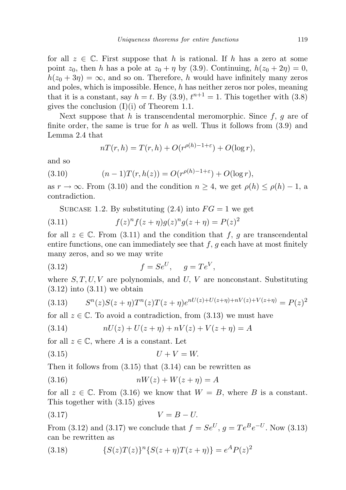for all  $z \in \mathbb{C}$ . First suppose that h is rational. If h has a zero at some point  $z_0$ , then h has a pole at  $z_0 + \eta$  by (3.9). Continuing,  $h(z_0 + 2\eta) = 0$ ,  $h(z_0 + 3\eta) = \infty$ , and so on. Therefore, h would have infinitely many zeros and poles, which is impossible. Hence,  $h$  has neither zeros nor poles, meaning that it is a constant, say  $h = t$ . By (3.9),  $t^{n+1} = 1$ . This together with (3.8) gives the conclusion  $(I)(i)$  of Theorem 1.1.

Next suppose that h is transcendental meromorphic. Since  $f, g$  are of finite order, the same is true for h as well. Thus it follows from  $(3.9)$  and Lemma 2.4 that

$$
nT(r,h) = T(r,h) + O(r^{\rho(h)-1+\varepsilon}) + O(\log r),
$$

and so

(3.10) 
$$
(n-1)T(r, h(z)) = O(r^{\rho(h)-1+\varepsilon}) + O(\log r),
$$

as  $r \to \infty$ . From (3.10) and the condition  $n \geq 4$ , we get  $\rho(h) \leq \rho(h) - 1$ , a contradiction.

SUBCASE 1.2. By substituting  $(2.4)$  into  $FG = 1$  we get

(3.11) 
$$
f(z)^n f(z+\eta)g(z)^n g(z+\eta) = P(z)^2
$$

for all  $z \in \mathbb{C}$ . From (3.11) and the condition that f, g are transcendental entire functions, one can immediately see that  $f, g$  each have at most finitely many zeros, and so we may write

$$
(3.12) \t\t f = Se^U, \t g = Te^V,
$$

where  $S, T, U, V$  are polynomials, and U, V are nonconstant. Substituting  $(3.12)$  into  $(3.11)$  we obtain

$$
(3.13) \qquad S^{n}(z)S(z+\eta)T^{n}(z)T(z+\eta)e^{nU(z)+U(z+\eta)+nV(z)+V(z+\eta)} = P(z)^{2}
$$

for all  $z \in \mathbb{C}$ . To avoid a contradiction, from (3.13) we must have

(3.14) 
$$
nU(z) + U(z + \eta) + nV(z) + V(z + \eta) = A
$$

for all  $z \in \mathbb{C}$ , where A is a constant. Let

$$
(3.15) \t\t\t U + V = W.
$$

Then it follows from  $(3.15)$  that  $(3.14)$  can be rewritten as

$$
(3.16) \t\t nW(z) + W(z + \eta) = A
$$

for all  $z \in \mathbb{C}$ . From (3.16) we know that  $W = B$ , where B is a constant. This together with (3.15) gives

$$
(3.17) \t\t V = B - U.
$$

From (3.12) and (3.17) we conclude that  $f = Se^{U}$ ,  $g = Te^{B}e^{-U}$ . Now (3.13) can be rewritten as

(3.18) 
$$
{S(z)T(z)}^n{S(z+\eta)T(z+\eta)} = e^A P(z)^2
$$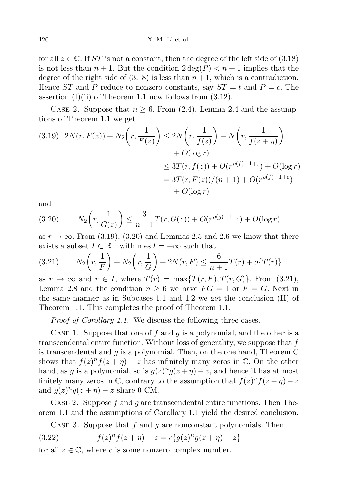for all  $z \in \mathbb{C}$ . If ST is not a constant, then the degree of the left side of (3.18) is not less than  $n + 1$ . But the condition  $2 \deg(P) < n + 1$  implies that the degree of the right side of  $(3.18)$  is less than  $n+1$ , which is a contradiction. Hence  $ST$  and P reduce to nonzero constants, say  $ST = t$  and  $P = c$ . The assertion  $(I)(ii)$  of Theorem 1.1 now follows from  $(3.12)$ .

CASE 2. Suppose that  $n \geq 6$ . From (2.4), Lemma 2.4 and the assumptions of Theorem 1.1 we get

$$
(3.19) \quad 2\overline{N}(r, F(z)) + N_2\left(r, \frac{1}{F(z)}\right) \le 2\overline{N}\left(r, \frac{1}{f(z)}\right) + N\left(r, \frac{1}{f(z+\eta)}\right) + O(\log r) \le 3T(r, f(z)) + O(r^{\rho(f)-1+\varepsilon}) + O(\log r) = 3T(r, F(z))/(n+1) + O(r^{\rho(f)-1+\varepsilon}) + O(\log r)
$$

and

(3.20) 
$$
N_2\left(r, \frac{1}{G(z)}\right) \le \frac{3}{n+1}T(r, G(z)) + O(r^{\rho(g)-1+\varepsilon}) + O(\log r)
$$

as  $r \to \infty$ . From (3.19), (3.20) and Lemmas 2.5 and 2.6 we know that there exists a subset  $I \subset \mathbb{R}^+$  with  $\text{mes } I = +\infty$  such that

(3.21) 
$$
N_2\left(r, \frac{1}{F}\right) + N_2\left(r, \frac{1}{G}\right) + 2\overline{N}(r, F) \leq \frac{6}{n+1}T(r) + o\{T(r)\}\
$$

as  $r \to \infty$  and  $r \in I$ , where  $T(r) = \max\{T(r, F), T(r, G)\}\.$  From (3.21), Lemma 2.8 and the condition  $n \geq 6$  we have  $FG = 1$  or  $F = G$ . Next in the same manner as in Subcases 1.1 and 1.2 we get the conclusion (II) of Theorem 1.1. This completes the proof of Theorem 1.1.

Proof of Corollary 1.1. We discuss the following three cases.

CASE 1. Suppose that one of f and g is a polynomial, and the other is a transcendental entire function. Without loss of generality, we suppose that  $f$ is transcendental and  $g$  is a polynomial. Then, on the one hand, Theorem C shows that  $f(z)^n f(z + \eta) - z$  has infinitely many zeros in  $\mathbb{C}$ . On the other hand, as g is a polynomial, so is  $g(z)^n g(z+\eta) - z$ , and hence it has at most finitely many zeros in  $\mathbb{C}$ , contrary to the assumption that  $f(z)^n f(z+\eta) - z$ and  $g(z)^n g(z+\eta) - z$  share 0 CM.

CASE 2. Suppose f and g are transcendental entire functions. Then Theorem 1.1 and the assumptions of Corollary 1.1 yield the desired conclusion.

CASE 3. Suppose that f and q are nonconstant polynomials. Then

(3.22) 
$$
f(z)^n f(z+\eta) - z = c\{g(z)^n g(z+\eta) - z\}
$$

for all  $z \in \mathbb{C}$ , where c is some nonzero complex number.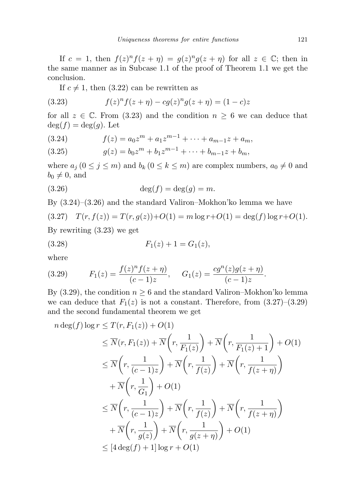If  $c = 1$ , then  $f(z)^n f(z + \eta) = g(z)^n g(z + \eta)$  for all  $z \in \mathbb{C}$ ; then in the same manner as in Subcase 1.1 of the proof of Theorem 1.1 we get the conclusion.

If  $c \neq 1$ , then (3.22) can be rewritten as

(3.23) 
$$
f(z)^n f(z+\eta) - c g(z)^n g(z+\eta) = (1-c)z
$$

for all  $z \in \mathbb{C}$ . From (3.23) and the condition  $n \geq 6$  we can deduce that  $deg(f) = deg(g)$ . Let

(3.24) 
$$
f(z) = a_0 z^m + a_1 z^{m-1} + \dots + a_{m-1} z + a_m,
$$

(3.25) 
$$
g(z) = b_0 z^m + b_1 z^{m-1} + \dots + b_{m-1} z + b_m,
$$

where  $a_j$   $(0 \le j \le m)$  and  $b_k$   $(0 \le k \le m)$  are complex numbers,  $a_0 \ne 0$  and  $b_0 \neq 0$ , and

$$
(3.26) \qquad \deg(f) = \deg(g) = m.
$$

By (3.24)–(3.26) and the standard Valiron–Mokhon'ko lemma we have

$$
(3.27) \quad T(r, f(z)) = T(r, g(z)) + O(1) = m \log r + O(1) = \deg(f) \log r + O(1).
$$

By rewriting (3.23) we get

$$
(3.28) \t\t F_1(z) + 1 = G_1(z),
$$

where

(3.29) 
$$
F_1(z) = \frac{f(z)^n f(z+\eta)}{(c-1)z}, \quad G_1(z) = \frac{cg^n(z)g(z+\eta)}{(c-1)z}.
$$

By (3.29), the condition  $n \geq 6$  and the standard Valiron–Mokhon'ko lemma we can deduce that  $F_1(z)$  is not a constant. Therefore, from  $(3.27)$ – $(3.29)$ and the second fundamental theorem we get

$$
n \deg(f) \log r \le T(r, F_1(z)) + O(1)
$$
  
\n
$$
\le \overline{N}(r, F_1(z)) + \overline{N}\left(r, \frac{1}{F_1(z)}\right) + \overline{N}\left(r, \frac{1}{F_1(z) + 1}\right) + O(1)
$$
  
\n
$$
\le \overline{N}\left(r, \frac{1}{(c-1)z}\right) + \overline{N}\left(r, \frac{1}{f(z)}\right) + \overline{N}\left(r, \frac{1}{f(z+\eta)}\right)
$$
  
\n
$$
+ \overline{N}\left(r, \frac{1}{G_1}\right) + O(1)
$$
  
\n
$$
\le \overline{N}\left(r, \frac{1}{(c-1)z}\right) + \overline{N}\left(r, \frac{1}{f(z)}\right) + \overline{N}\left(r, \frac{1}{f(z+\eta)}\right)
$$
  
\n
$$
+ \overline{N}\left(r, \frac{1}{g(z)}\right) + \overline{N}\left(r, \frac{1}{g(z+\eta)}\right) + O(1)
$$
  
\n
$$
\le [4 \deg(f) + 1] \log r + O(1)
$$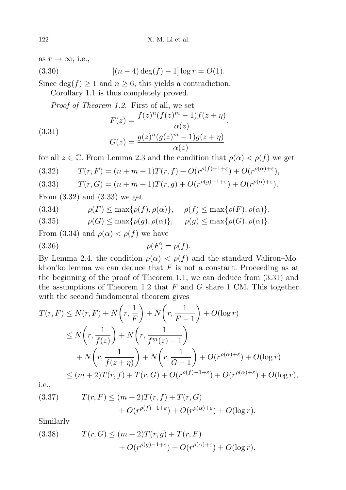as  $r \to \infty$ , i.e.,

(3.30) 
$$
[(n-4)\deg(f) - 1] \log r = O(1).
$$

Since  $\deg(f) \geq 1$  and  $n \geq 6$ , this yields a contradiction.

Corollary 1.1 is thus completely proved.

Proof of Theorem 1.2. First of all, we set

(3.31) 
$$
F(z) = \frac{f(z)^n (f(z)^m - 1) f(z + \eta)}{\alpha(z)},
$$

$$
G(z) = \frac{g(z)^n (g(z)^m - 1) g(z + \eta)}{\alpha(z)}
$$

for all  $z \in \mathbb{C}$ . From Lemma 2.3 and the condition that  $\rho(\alpha) < \rho(f)$  we get

(3.32) 
$$
T(r, F) = (n + m + 1)T(r, f) + O(r^{\rho(f) - 1 + \varepsilon}) + O(r^{\rho(\alpha) + \varepsilon}),
$$

(3.33) 
$$
T(r, G) = (n + m + 1)T(r, g) + O(r^{\rho(g) - 1 + \varepsilon}) + O(r^{\rho(\alpha) + \varepsilon}).
$$

From (3.32) and (3.33) we get

(3.34) 
$$
\rho(F) \le \max\{\rho(f), \rho(\alpha)\}, \quad \rho(f) \le \max\{\rho(F), \rho(\alpha)\},
$$

(3.35)  $\rho(G) \le \max\{\rho(g), \rho(\alpha)\}, \rho(g) \le \max\{\rho(G), \rho(\alpha)\}.$ 

From (3.34) and  $\rho(\alpha) < \rho(f)$  we have

$$
(3.36) \qquad \rho(F) = \rho(f).
$$

By Lemma 2.4, the condition  $\rho(\alpha) < \rho(f)$  and the standard Valiron–Mokhon'ko lemma we can deduce that  $F$  is not a constant. Proceeding as at the beginning of the proof of Theorem 1.1, we can deduce from (3.31) and the assumptions of Theorem 1.2 that  $F$  and  $G$  share 1 CM. This together with the second fundamental theorem gives

$$
T(r, F) \leq \overline{N}(r, F) + \overline{N}\left(r, \frac{1}{F}\right) + \overline{N}\left(r, \frac{1}{F-1}\right) + O(\log r)
$$
  
\n
$$
\leq \overline{N}\left(r, \frac{1}{f(z)}\right) + \overline{N}\left(r, \frac{1}{f^m(z) - 1}\right)
$$
  
\n
$$
+ \overline{N}\left(r, \frac{1}{f(z + \eta)}\right) + \overline{N}\left(r, \frac{1}{G-1}\right) + O(r^{\rho(\alpha) + \varepsilon}) + O(\log r)
$$
  
\n
$$
\leq (m+2)T(r, f) + T(r, G) + O(r^{\rho(f) - 1 + \varepsilon}) + O(r^{\rho(\alpha) + \varepsilon}) + O(\log r),
$$

i.e.,

(3.37) 
$$
T(r, F) \le (m+2)T(r, f) + T(r, G) + O(r^{\rho(f)-1+\varepsilon}) + O(r^{\rho(\alpha)+\varepsilon}) + O(\log r).
$$

Similarly

(3.38) 
$$
T(r, G) \le (m+2)T(r, g) + T(r, F) + O(r^{\rho(g)-1+\varepsilon}) + O(r^{\rho(\alpha)+\varepsilon}) + O(\log r).
$$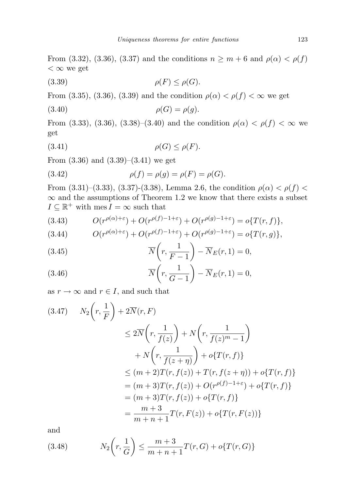From (3.32), (3.36), (3.37) and the conditions  $n \geq m + 6$  and  $\rho(\alpha) < \rho(f)$  $< \infty$  we get

$$
(3.39) \t\t \rho(F) \le \rho(G).
$$

From (3.35), (3.36), (3.39) and the condition  $\rho(\alpha) < \rho(f) < \infty$  we get

$$
(3.40) \qquad \rho(G) = \rho(g).
$$

From (3.33), (3.36), (3.38)–(3.40) and the condition  $\rho(\alpha) < \rho(f) < \infty$  we get

$$
(3.41)\qquad \qquad \rho(G) \le \rho(F).
$$

From  $(3.36)$  and  $(3.39)$ – $(3.41)$  we get

(3.42) 
$$
\rho(f) = \rho(g) = \rho(F) = \rho(G).
$$

From (3.31)–(3.33), (3.37)-(3.38), Lemma 2.6, the condition  $\rho(\alpha) < \rho(f)$  $\infty$  and the assumptions of Theorem 1.2 we know that there exists a subset  $I \subseteq \mathbb{R}^+$  with mes  $I = \infty$  such that

(3.43) 
$$
O(r^{\rho(\alpha)+\varepsilon}) + O(r^{\rho(f)-1+\varepsilon}) + O(r^{\rho(g)-1+\varepsilon}) = o\{T(r,f)\},
$$

(3.44) 
$$
O(r^{\rho(\alpha)+\varepsilon})+O(r^{\rho(f)-1+\varepsilon})+O(r^{\rho(g)-1+\varepsilon})=o\{T(r,g)\},
$$

(3.45) 
$$
\overline{N}\left(r, \frac{1}{F-1}\right) - \overline{N}_E(r, 1) = 0,
$$

(3.46) 
$$
\overline{N}\left(r,\frac{1}{G-1}\right) - \overline{N}_E(r,1) = 0,
$$

as  $r \to \infty$  and  $r \in I$ , and such that

$$
(3.47) \quad N_2\left(r, \frac{1}{F}\right) + 2\overline{N}(r, F)
$$
  
\n
$$
\leq 2\overline{N}\left(r, \frac{1}{f(z)}\right) + N\left(r, \frac{1}{f(z)^m - 1}\right)
$$
  
\n
$$
+ N\left(r, \frac{1}{f(z + \eta)}\right) + o\{T(r, f)\}
$$
  
\n
$$
\leq (m + 2)T(r, f(z)) + T(r, f(z + \eta)) + o\{T(r, f)\}
$$
  
\n
$$
= (m + 3)T(r, f(z)) + O(r^{\rho(f) - 1 + \varepsilon}) + o\{T(r, f)\}
$$
  
\n
$$
= (m + 3)T(r, f(z)) + o\{T(r, f)\}
$$
  
\n
$$
= \frac{m + 3}{m + n + 1}T(r, F(z)) + o\{T(r, F(z))\}
$$

and

(3.48) 
$$
N_2\left(r, \frac{1}{G}\right) \le \frac{m+3}{m+n+1}T(r, G) + o\{T(r, G)\}\
$$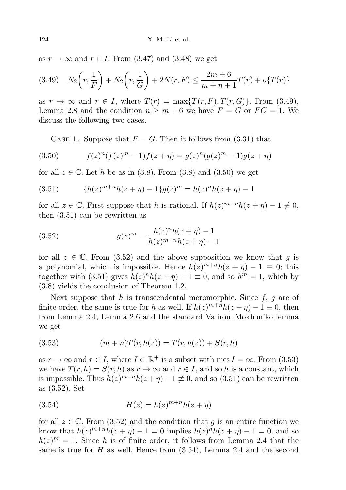as  $r \to \infty$  and  $r \in I$ . From (3.47) and (3.48) we get

$$
(3.49) \quad N_2\left(r, \frac{1}{F}\right) + N_2\left(r, \frac{1}{G}\right) + 2\overline{N}(r, F) \le \frac{2m + 6}{m + n + 1}T(r) + o\{T(r)\}\
$$

as  $r \to \infty$  and  $r \in I$ , where  $T(r) = \max\{T(r, F), T(r, G)\}\.$  From (3.49), Lemma 2.8 and the condition  $n \geq m + 6$  we have  $F = G$  or  $FG = 1$ . We discuss the following two cases.

CASE 1. Suppose that  $F = G$ . Then it follows from (3.31) that

(3.50) 
$$
f(z)^{n}(f(z)^{m}-1)f(z+\eta) = g(z)^{n}(g(z)^{m}-1)g(z+\eta)
$$

for all  $z \in \mathbb{C}$ . Let h be as in (3.8). From (3.8) and (3.50) we get

(3.51) 
$$
\{h(z)^{m+n}h(z+\eta)-1\}g(z)^m=h(z)^n h(z+\eta)-1
$$

for all  $z \in \mathbb{C}$ . First suppose that h is rational. If  $h(z)^{m+n}h(z+\eta) - 1 \neq 0$ , then (3.51) can be rewritten as

(3.52) 
$$
g(z)^m = \frac{h(z)^n h(z+\eta) - 1}{h(z)^{m+n} h(z+\eta) - 1}
$$

for all  $z \in \mathbb{C}$ . From (3.52) and the above supposition we know that g is a polynomial, which is impossible. Hence  $h(z)^{m+n}h(z+\eta) - 1 \equiv 0$ ; this together with (3.51) gives  $h(z)^n h(z + \eta) - 1 \equiv 0$ , and so  $h^m = 1$ , which by (3.8) yields the conclusion of Theorem 1.2.

Next suppose that h is transcendental meromorphic. Since  $f$ ,  $g$  are of finite order, the same is true for h as well. If  $h(z)^{m+n}h(z+\eta) - 1 \equiv 0$ , then from Lemma 2.4, Lemma 2.6 and the standard Valiron–Mokhon'ko lemma we get

(3.53) 
$$
(m+n)T(r,h(z)) = T(r,h(z)) + S(r,h)
$$

as  $r \to \infty$  and  $r \in I$ , where  $I \subset \mathbb{R}^+$  is a subset with mes  $I = \infty$ . From (3.53) we have  $T(r, h) = S(r, h)$  as  $r \to \infty$  and  $r \in I$ , and so h is a constant, which is impossible. Thus  $h(z)^{m+n}h(z+\eta) - 1 \neq 0$ , and so (3.51) can be rewritten as (3.52). Set

$$
(3.54) \t\t\t H(z) = h(z)^{m+n}h(z+\eta)
$$

for all  $z \in \mathbb{C}$ . From (3.52) and the condition that q is an entire function we know that  $h(z)^{m+n}h(z+\eta) - 1 = 0$  implies  $h(z)^n h(z+\eta) - 1 = 0$ , and so  $h(z)^m = 1$ . Since h is of finite order, it follows from Lemma 2.4 that the same is true for  $H$  as well. Hence from  $(3.54)$ , Lemma 2.4 and the second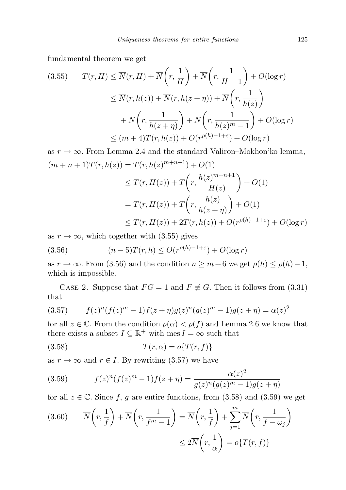fundamental theorem we get

$$
(3.55) \qquad T(r, H) \leq \overline{N}(r, H) + \overline{N}\left(r, \frac{1}{H}\right) + \overline{N}\left(r, \frac{1}{H-1}\right) + O(\log r)
$$

$$
\leq \overline{N}(r, h(z)) + \overline{N}(r, h(z+\eta)) + \overline{N}\left(r, \frac{1}{h(z)}\right)
$$

$$
+ \overline{N}\left(r, \frac{1}{h(z+\eta)}\right) + \overline{N}\left(r, \frac{1}{h(z)^m - 1}\right) + O(\log r)
$$

$$
\leq (m+4)T(r, h(z)) + O(r^{\rho(h)-1+\varepsilon}) + O(\log r)
$$

as  $r \to \infty$ . From Lemma 2.4 and the standard Valiron–Mokhon'ko lemma,  $(m+n+1)T(r, h(z)) = T(r, h(z)^{m+n+1}) + O(1)$  $\leq T(r, H(z)) + T\left(r, \frac{h(z)^{m+n+1}}{H(z)}\right)$  $H(z)$  $+ O(1)$  $=T(r,H(z))+T\bigg(r,\frac{h(z)}{h(z)}\bigg)$  $+ O(1)$ 

$$
\leq T(r, H(z)) + 2T(r, h(z)) + O(r^{\rho(h)-1+\varepsilon}) + O(\log r)
$$

as  $r \to \infty$ , which together with (3.55) gives

(3.56) 
$$
(n-5)T(r,h) \leq O(r^{\rho(h)-1+\varepsilon}) + O(\log r)
$$

as  $r \to \infty$ . From (3.56) and the condition  $n \geq m+6$  we get  $\rho(h) \leq \rho(h)-1$ , which is impossible.

CASE 2. Suppose that  $FG = 1$  and  $F \neq G$ . Then it follows from (3.31) that

(3.57) 
$$
f(z)^n (f(z)^m - 1) f(z + \eta) g(z)^n (g(z)^m - 1) g(z + \eta) = \alpha(z)^2
$$

for all  $z \in \mathbb{C}$ . From the condition  $\rho(\alpha) < \rho(f)$  and Lemma 2.6 we know that there exists a subset  $I \subseteq \mathbb{R}^+$  with mes  $I = \infty$  such that

$$
(3.58)\qquad \qquad T(r,\alpha) = o\{T(r,f)\}
$$

as  $r \to \infty$  and  $r \in I$ . By rewriting (3.57) we have

(3.59) 
$$
f(z)^n (f(z)^m - 1) f(z + \eta) = \frac{\alpha(z)^2}{g(z)^n (g(z)^m - 1) g(z + \eta)}
$$

for all  $z \in \mathbb{C}$ . Since f, g are entire functions, from  $(3.58)$  and  $(3.59)$  we get

(3.60) 
$$
\overline{N}\left(r, \frac{1}{f}\right) + \overline{N}\left(r, \frac{1}{f^m - 1}\right) = \overline{N}\left(r, \frac{1}{f}\right) + \sum_{j=1}^m \overline{N}\left(r, \frac{1}{f - \omega_j}\right)
$$

$$
\leq 2\overline{N}\left(r, \frac{1}{\alpha}\right) = o\{T(r, f)\}
$$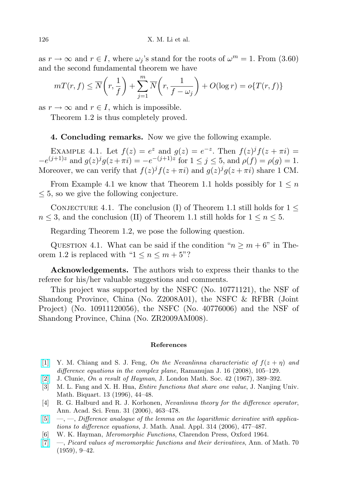as  $r \to \infty$  and  $r \in I$ , where  $\omega_j$ 's stand for the roots of  $\omega^m = 1$ . From (3.60) and the second fundamental theorem we have

$$
m(\mathbf{r}, f) \le \overline{N}\left(r, \frac{1}{f}\right) + \sum_{j=1}^{m} \overline{N}\left(r, \frac{1}{f - \omega_j}\right) + O(\log r) = o\{T(r, f)\}
$$

as  $r \to \infty$  and  $r \in I$ , which is impossible.

Theorem 1.2 is thus completely proved.

## 4. Concluding remarks. Now we give the following example.

EXAMPLE 4.1. Let  $f(z) = e^z$  and  $g(z) = e^{-z}$ . Then  $f(z)^j f(z + \pi i) =$  $-e^{(j+1)z}$  and  $g(z)^{j}g(z+\pi i) = -e^{-(j+1)z}$  for  $1 \leq j \leq 5$ , and  $\rho(f) = \rho(g) = 1$ . Moreover, we can verify that  $f(z)^{j} f(z + \pi i)$  and  $g(z)^{j} g(z + \pi i)$  share 1 CM.

From Example 4.1 we know that Theorem 1.1 holds possibly for  $1 \leq n$  $\leq$  5, so we give the following conjecture.

CONJECTURE 4.1. The conclusion (I) of Theorem 1.1 still holds for  $1 \leq$  $n \leq 3$ , and the conclusion (II) of Theorem 1.1 still holds for  $1 \leq n \leq 5$ .

Regarding Theorem 1.2, we pose the following question.

QUESTION 4.1. What can be said if the condition " $n \geq m + 6$ " in Theorem 1.2 is replaced with " $1 \leq n \leq m+5$ "?

Acknowledgements. The authors wish to express their thanks to the referee for his/her valuable suggestions and comments.

This project was supported by the NSFC (No. 10771121), the NSF of Shandong Province, China (No. Z2008A01), the NSFC & RFBR (Joint Project) (No. 10911120056), the NSFC (No. 40776006) and the NSF of Shandong Province, China (No. ZR2009AM008).

#### References

- <span id="page-15-2"></span>[\[1\]](http://dx.doi.org/10.1007/s11139-007-9101-1) Y. M. Chiang and S. J. Feng, On the Nevanlinna characteristic of  $f(z + \eta)$  and difference equations in the complex plane, Ramanujan J. 16 (2008), 105–129.
- <span id="page-15-5"></span>[\[2\]](http://dx.doi.org/10.1112/jlms/s1-42.1.389) J. Clunie, On a result of Hayman, J. London Math. Soc. 42 (1967), 389–392.
- <span id="page-15-1"></span>[3] M. L. Fang and X. H. Hua, Entire functions that share one value, J. Nanjing Univ. Math. Biquart. 13 (1996), 44–48.
- <span id="page-15-4"></span>[4] R. G. Halburd and R. J. Korhonen, Nevanlinna theory for the difference operator, Ann. Acad. Sci. Fenn. 31 (2006), 463–478.
- <span id="page-15-3"></span> $[5] \quad [5] \quad -$ ,  $\quad$ , Difference analogue of the lemma on the logarithmic derivative with applications to difference equations, J. Math. Anal. Appl. 314 (2006), 477–487.
- <span id="page-15-0"></span>[6] W. K. Hayman, Meromorphic Functions, Clarendon Press, Oxford 1964.
- <span id="page-15-6"></span>[\[7\]](http://dx.doi.org/10.2307/1969890) —, Picard values of meromorphic functions and their derivatives, Ann. of Math. 70 (1959), 9–42.